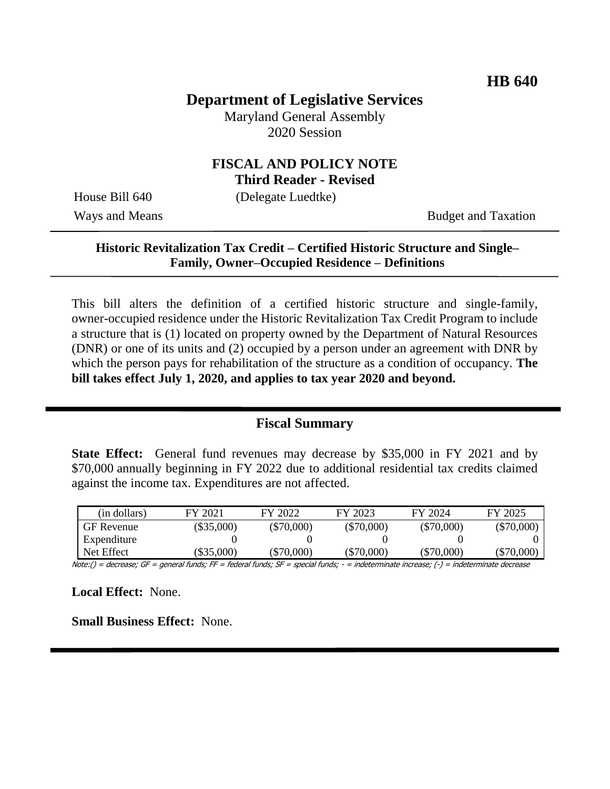# **Department of Legislative Services**

Maryland General Assembly 2020 Session

## **FISCAL AND POLICY NOTE Third Reader - Revised**

House Bill 640 (Delegate Luedtke)

Ways and Means Budget and Taxation

# **Historic Revitalization Tax Credit – Certified Historic Structure and Single– Family, Owner–Occupied Residence – Definitions**

This bill alters the definition of a certified historic structure and single-family, owner-occupied residence under the Historic Revitalization Tax Credit Program to include a structure that is (1) located on property owned by the Department of Natural Resources (DNR) or one of its units and (2) occupied by a person under an agreement with DNR by which the person pays for rehabilitation of the structure as a condition of occupancy. **The bill takes effect July 1, 2020, and applies to tax year 2020 and beyond.** 

#### **Fiscal Summary**

**State Effect:** General fund revenues may decrease by \$35,000 in FY 2021 and by \$70,000 annually beginning in FY 2022 due to additional residential tax credits claimed against the income tax. Expenditures are not affected.

| (in dollars)      | FY 2021      | FY 2022      | FY 2023      | FY 2024      | FY 2025      |
|-------------------|--------------|--------------|--------------|--------------|--------------|
| <b>GF</b> Revenue | $(\$35,000)$ | $(\$70,000)$ | $(\$70,000)$ | $(\$70,000)$ | $(\$70,000)$ |
| Expenditure       |              |              |              |              |              |
| Net Effect        | $\$35,000$   | (\$70,000)   | $(\$70,000)$ | $(\$70,000)$ | $(\$70,000)$ |

Note:() = decrease; GF = general funds; FF = federal funds; SF = special funds; - = indeterminate increase; (-) = indeterminate decrease

**Local Effect:** None.

**Small Business Effect:** None.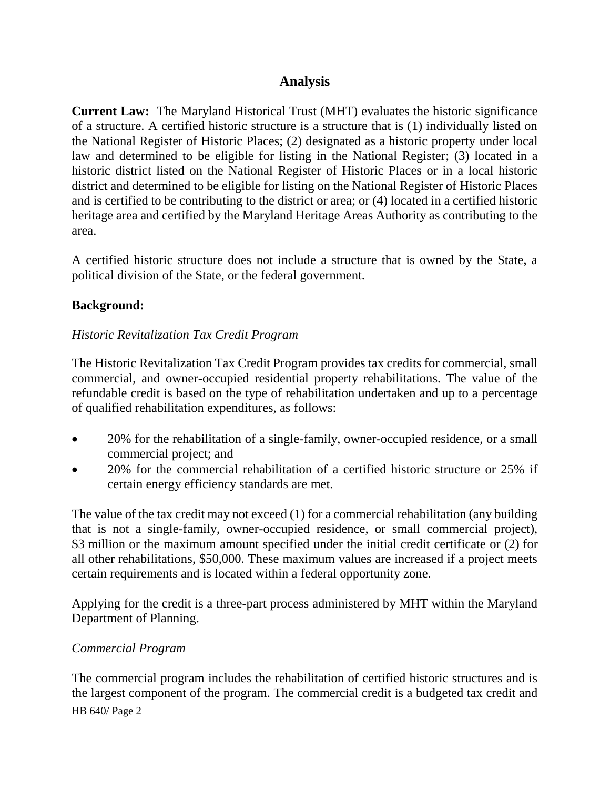# **Analysis**

**Current Law:** The Maryland Historical Trust (MHT) evaluates the historic significance of a structure. A certified historic structure is a structure that is (1) individually listed on the National Register of Historic Places; (2) designated as a historic property under local law and determined to be eligible for listing in the National Register; (3) located in a historic district listed on the National Register of Historic Places or in a local historic district and determined to be eligible for listing on the National Register of Historic Places and is certified to be contributing to the district or area; or (4) located in a certified historic heritage area and certified by the Maryland Heritage Areas Authority as contributing to the area.

A certified historic structure does not include a structure that is owned by the State, a political division of the State, or the federal government.

## **Background:**

## *Historic Revitalization Tax Credit Program*

The Historic Revitalization Tax Credit Program provides tax credits for commercial, small commercial, and owner-occupied residential property rehabilitations. The value of the refundable credit is based on the type of rehabilitation undertaken and up to a percentage of qualified rehabilitation expenditures, as follows:

- 20% for the rehabilitation of a single-family, owner-occupied residence, or a small commercial project; and
- 20% for the commercial rehabilitation of a certified historic structure or 25% if certain energy efficiency standards are met.

The value of the tax credit may not exceed (1) for a commercial rehabilitation (any building that is not a single-family, owner-occupied residence, or small commercial project), \$3 million or the maximum amount specified under the initial credit certificate or (2) for all other rehabilitations, \$50,000. These maximum values are increased if a project meets certain requirements and is located within a federal opportunity zone.

Applying for the credit is a three-part process administered by MHT within the Maryland Department of Planning.

#### *Commercial Program*

HB 640/ Page 2 The commercial program includes the rehabilitation of certified historic structures and is the largest component of the program. The commercial credit is a budgeted tax credit and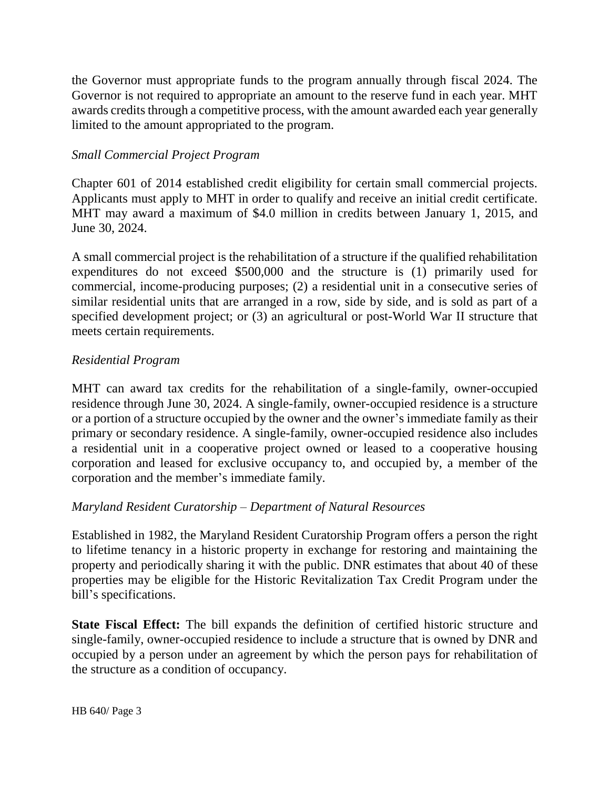the Governor must appropriate funds to the program annually through fiscal 2024. The Governor is not required to appropriate an amount to the reserve fund in each year. MHT awards credits through a competitive process, with the amount awarded each year generally limited to the amount appropriated to the program.

#### *Small Commercial Project Program*

Chapter 601 of 2014 established credit eligibility for certain small commercial projects. Applicants must apply to MHT in order to qualify and receive an initial credit certificate. MHT may award a maximum of \$4.0 million in credits between January 1, 2015, and June 30, 2024.

A small commercial project is the rehabilitation of a structure if the qualified rehabilitation expenditures do not exceed \$500,000 and the structure is (1) primarily used for commercial, income-producing purposes; (2) a residential unit in a consecutive series of similar residential units that are arranged in a row, side by side, and is sold as part of a specified development project; or (3) an agricultural or post-World War II structure that meets certain requirements.

#### *Residential Program*

MHT can award tax credits for the rehabilitation of a single-family, owner-occupied residence through June 30, 2024. A single-family, owner-occupied residence is a structure or a portion of a structure occupied by the owner and the owner's immediate family as their primary or secondary residence. A single-family, owner-occupied residence also includes a residential unit in a cooperative project owned or leased to a cooperative housing corporation and leased for exclusive occupancy to, and occupied by, a member of the corporation and the member's immediate family.

#### *Maryland Resident Curatorship – Department of Natural Resources*

Established in 1982, the Maryland Resident Curatorship Program offers a person the right to lifetime tenancy in a historic property in exchange for restoring and maintaining the property and periodically sharing it with the public. DNR estimates that about 40 of these properties may be eligible for the Historic Revitalization Tax Credit Program under the bill's specifications.

**State Fiscal Effect:** The bill expands the definition of certified historic structure and single-family, owner-occupied residence to include a structure that is owned by DNR and occupied by a person under an agreement by which the person pays for rehabilitation of the structure as a condition of occupancy.